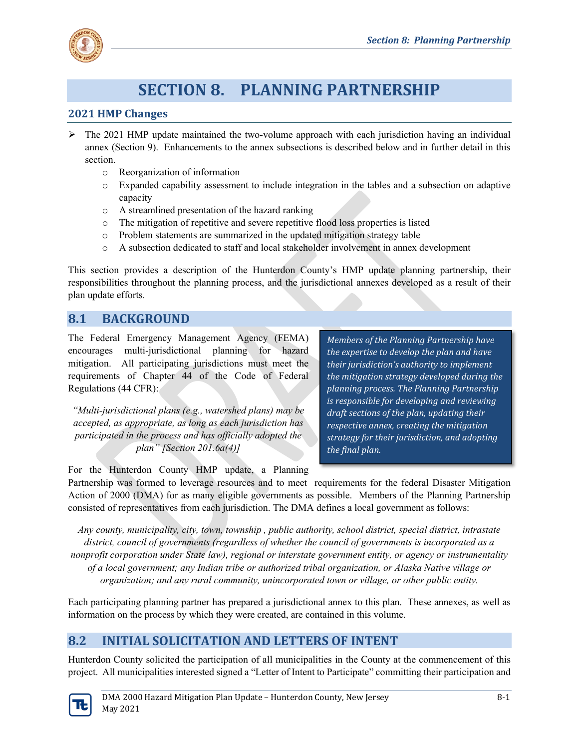

# **SECTION 8. PLANNING PARTNERSHIP**

### **2021 HMP Changes**

- $\triangleright$  The 2021 HMP update maintained the two-volume approach with each jurisdiction having an individual annex (Section 9). Enhancements to the annex subsections is described below and in further detail in this section.
	- o Reorganization of information
	- o Expanded capability assessment to include integration in the tables and a subsection on adaptive capacity
	- o A streamlined presentation of the hazard ranking
	- o The mitigation of repetitive and severe repetitive flood loss properties is listed
	- o Problem statements are summarized in the updated mitigation strategy table
	- o A subsection dedicated to staff and local stakeholder involvement in annex development

This section provides a description of the Hunterdon County's HMP update planning partnership, their responsibilities throughout the planning process, and the jurisdictional annexes developed as a result of their plan update efforts.

### **8.1 BACKGROUND**

The Federal Emergency Management Agency (FEMA) encourages multi-jurisdictional planning for hazard mitigation. All participating jurisdictions must meet the requirements of Chapter 44 of the Code of Federal Regulations (44 CFR):

*"Multi-jurisdictional plans (e.g., watershed plans) may be accepted, as appropriate, as long as each jurisdiction has participated in the process and has officially adopted the plan" [Section 201.6a(4)]*

*Members of the Planning Partnership have the expertise to develop the plan and have their jurisdiction's authority to implement the mitigation strategy developed during the planning process. The Planning Partnership is responsible for developing and reviewing draft sections of the plan, updating their respective annex, creating the mitigation strategy for their jurisdiction, and adopting the final plan.*

For the Hunterdon County HMP update, a Planning

Partnership was formed to leverage resources and to meet requirements for the federal Disaster Mitigation Action of 2000 (DMA) for as many eligible governments as possible. Members of the Planning Partnership consisted of representatives from each jurisdiction. The DMA defines a local government as follows:

*Any county, municipality, city, town, township , public authority, school district, special district, intrastate district, council of governments (regardless of whether the council of governments is incorporated as a nonprofit corporation under State law), regional or interstate government entity, or agency or instrumentality of a local government; any Indian tribe or authorized tribal organization, or Alaska Native village or organization; and any rural community, unincorporated town or village, or other public entity.*

Each participating planning partner has prepared a jurisdictional annex to this plan. These annexes, as well as information on the process by which they were created, are contained in this volume.

## **8.2 INITIAL SOLICITATION AND LETTERS OF INTENT**

Hunterdon County solicited the participation of all municipalities in the County at the commencement of this project. All municipalities interested signed a "Letter of Intent to Participate" committing their participation and

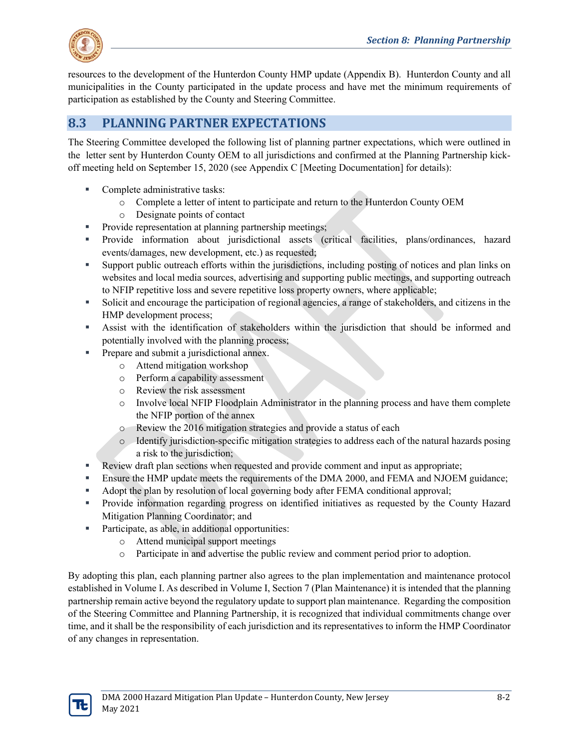

resources to the development of the Hunterdon County HMP update (Appendix B). Hunterdon County and all municipalities in the County participated in the update process and have met the minimum requirements of participation as established by the County and Steering Committee.

# **8.3 PLANNING PARTNER EXPECTATIONS**

The Steering Committee developed the following list of planning partner expectations, which were outlined in the letter sent by Hunterdon County OEM to all jurisdictions and confirmed at the Planning Partnership kickoff meeting held on September 15, 2020 (see Appendix C [Meeting Documentation] for details):

- Complete administrative tasks:
	- o Complete a letter of intent to participate and return to the Hunterdon County OEM
	- o Designate points of contact
- **Provide representation at planning partnership meetings;**
- Provide information about jurisdictional assets (critical facilities, plans/ordinances, hazard events/damages, new development, etc.) as requested;
- Support public outreach efforts within the jurisdictions, including posting of notices and plan links on websites and local media sources, advertising and supporting public meetings, and supporting outreach to NFIP repetitive loss and severe repetitive loss property owners, where applicable;
- Solicit and encourage the participation of regional agencies, a range of stakeholders, and citizens in the HMP development process;
- Assist with the identification of stakeholders within the jurisdiction that should be informed and potentially involved with the planning process;
- **Prepare and submit a jurisdictional annex.** 
	- o Attend mitigation workshop
	- o Perform a capability assessment
	- o Review the risk assessment
	- o Involve local NFIP Floodplain Administrator in the planning process and have them complete the NFIP portion of the annex
	- o Review the 2016 mitigation strategies and provide a status of each
	- o Identify jurisdiction-specific mitigation strategies to address each of the natural hazards posing a risk to the jurisdiction;
- Review draft plan sections when requested and provide comment and input as appropriate;
- **Ensure the HMP update meets the requirements of the DMA 2000, and FEMA and NJOEM guidance;**
- Adopt the plan by resolution of local governing body after FEMA conditional approval;
- Provide information regarding progress on identified initiatives as requested by the County Hazard Mitigation Planning Coordinator; and
- Participate, as able, in additional opportunities:
	- o Attend municipal support meetings
	- o Participate in and advertise the public review and comment period prior to adoption.

By adopting this plan, each planning partner also agrees to the plan implementation and maintenance protocol established in Volume I. As described in Volume I, Section 7 (Plan Maintenance) it is intended that the planning partnership remain active beyond the regulatory update to support plan maintenance. Regarding the composition of the Steering Committee and Planning Partnership, it is recognized that individual commitments change over time, and it shall be the responsibility of each jurisdiction and its representatives to inform the HMP Coordinator of any changes in representation.

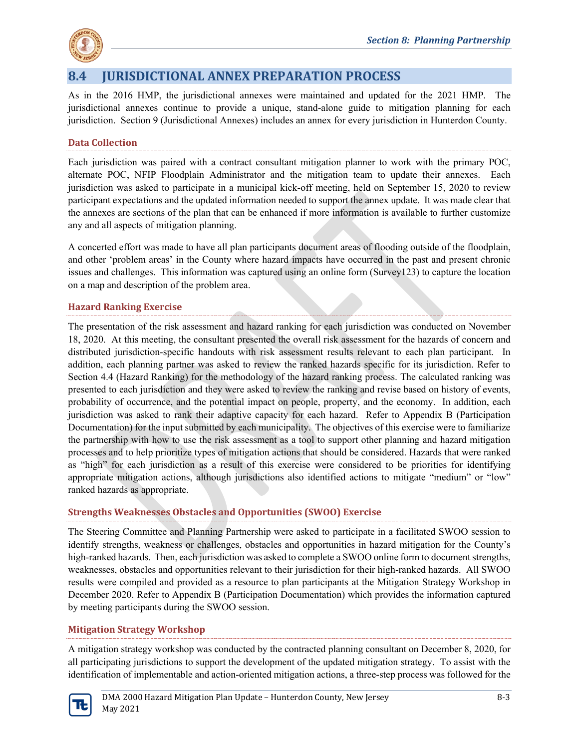

# **8.4 JURISDICTIONAL ANNEX PREPARATION PROCESS**

As in the 2016 HMP, the jurisdictional annexes were maintained and updated for the 2021 HMP. The jurisdictional annexes continue to provide a unique, stand-alone guide to mitigation planning for each jurisdiction. Section 9 (Jurisdictional Annexes) includes an annex for every jurisdiction in Hunterdon County.

### **Data Collection**

Each jurisdiction was paired with a contract consultant mitigation planner to work with the primary POC, alternate POC, NFIP Floodplain Administrator and the mitigation team to update their annexes. Each jurisdiction was asked to participate in a municipal kick-off meeting, held on September 15, 2020 to review participant expectations and the updated information needed to support the annex update. It was made clear that the annexes are sections of the plan that can be enhanced if more information is available to further customize any and all aspects of mitigation planning.

A concerted effort was made to have all plan participants document areas of flooding outside of the floodplain, and other 'problem areas' in the County where hazard impacts have occurred in the past and present chronic issues and challenges. This information was captured using an online form (Survey123) to capture the location on a map and description of the problem area.

#### **Hazard Ranking Exercise**

The presentation of the risk assessment and hazard ranking for each jurisdiction was conducted on November 18, 2020. At this meeting, the consultant presented the overall risk assessment for the hazards of concern and distributed jurisdiction-specific handouts with risk assessment results relevant to each plan participant. In addition, each planning partner was asked to review the ranked hazards specific for its jurisdiction. Refer to Section 4.4 (Hazard Ranking) for the methodology of the hazard ranking process. The calculated ranking was presented to each jurisdiction and they were asked to review the ranking and revise based on history of events, probability of occurrence, and the potential impact on people, property, and the economy. In addition, each jurisdiction was asked to rank their adaptive capacity for each hazard. Refer to Appendix B (Participation Documentation) for the input submitted by each municipality. The objectives of this exercise were to familiarize the partnership with how to use the risk assessment as a tool to support other planning and hazard mitigation processes and to help prioritize types of mitigation actions that should be considered. Hazards that were ranked as "high" for each jurisdiction as a result of this exercise were considered to be priorities for identifying appropriate mitigation actions, although jurisdictions also identified actions to mitigate "medium" or "low" ranked hazards as appropriate.

#### **Strengths Weaknesses Obstacles and Opportunities (SWOO) Exercise**

The Steering Committee and Planning Partnership were asked to participate in a facilitated SWOO session to identify strengths, weakness or challenges, obstacles and opportunities in hazard mitigation for the County's high-ranked hazards. Then, each jurisdiction was asked to complete a SWOO online form to document strengths, weaknesses, obstacles and opportunities relevant to their jurisdiction for their high-ranked hazards. All SWOO results were compiled and provided as a resource to plan participants at the Mitigation Strategy Workshop in December 2020. Refer to Appendix B (Participation Documentation) which provides the information captured by meeting participants during the SWOO session.

#### **Mitigation Strategy Workshop**

A mitigation strategy workshop was conducted by the contracted planning consultant on December 8, 2020, for all participating jurisdictions to support the development of the updated mitigation strategy. To assist with the identification of implementable and action-oriented mitigation actions, a three-step process was followed for the

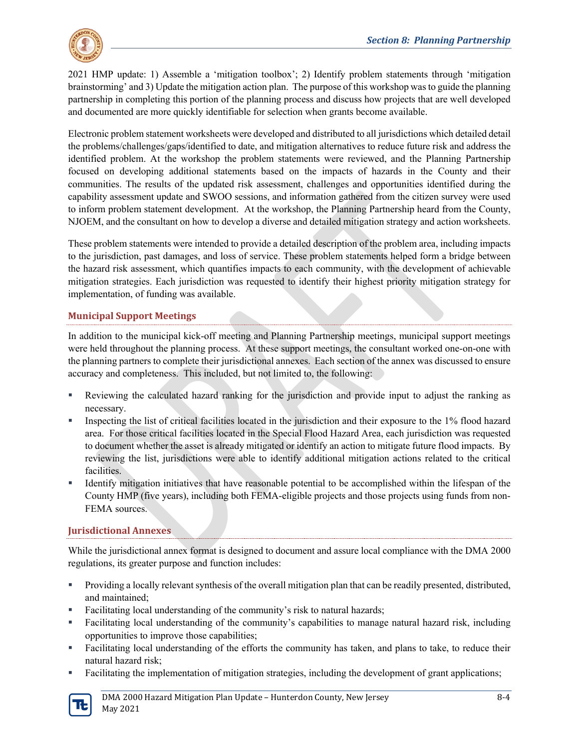

2021 HMP update: 1) Assemble a 'mitigation toolbox'; 2) Identify problem statements through 'mitigation brainstorming' and 3) Update the mitigation action plan. The purpose of this workshop was to guide the planning partnership in completing this portion of the planning process and discuss how projects that are well developed and documented are more quickly identifiable for selection when grants become available.

Electronic problem statement worksheets were developed and distributed to all jurisdictions which detailed detail the problems/challenges/gaps/identified to date, and mitigation alternatives to reduce future risk and address the identified problem. At the workshop the problem statements were reviewed, and the Planning Partnership focused on developing additional statements based on the impacts of hazards in the County and their communities. The results of the updated risk assessment, challenges and opportunities identified during the capability assessment update and SWOO sessions, and information gathered from the citizen survey were used to inform problem statement development. At the workshop, the Planning Partnership heard from the County, NJOEM, and the consultant on how to develop a diverse and detailed mitigation strategy and action worksheets.

These problem statements were intended to provide a detailed description of the problem area, including impacts to the jurisdiction, past damages, and loss of service. These problem statements helped form a bridge between the hazard risk assessment, which quantifies impacts to each community, with the development of achievable mitigation strategies. Each jurisdiction was requested to identify their highest priority mitigation strategy for implementation, of funding was available.

### **Municipal Support Meetings**

In addition to the municipal kick-off meeting and Planning Partnership meetings, municipal support meetings were held throughout the planning process. At these support meetings, the consultant worked one-on-one with the planning partners to complete their jurisdictional annexes. Each section of the annex was discussed to ensure accuracy and completeness. This included, but not limited to, the following:

- Reviewing the calculated hazard ranking for the jurisdiction and provide input to adjust the ranking as necessary.
- Inspecting the list of critical facilities located in the jurisdiction and their exposure to the 1% flood hazard area. For those critical facilities located in the Special Flood Hazard Area, each jurisdiction was requested to document whether the asset is already mitigated or identify an action to mitigate future flood impacts. By reviewing the list, jurisdictions were able to identify additional mitigation actions related to the critical facilities.
- Identify mitigation initiatives that have reasonable potential to be accomplished within the lifespan of the County HMP (five years), including both FEMA-eligible projects and those projects using funds from non-FEMA sources.

#### **Jurisdictional Annexes**

While the jurisdictional annex format is designed to document and assure local compliance with the DMA 2000 regulations, its greater purpose and function includes:

- Providing a locally relevant synthesis of the overall mitigation plan that can be readily presented, distributed, and maintained;
- Facilitating local understanding of the community's risk to natural hazards;
- Facilitating local understanding of the community's capabilities to manage natural hazard risk, including opportunities to improve those capabilities;
- Facilitating local understanding of the efforts the community has taken, and plans to take, to reduce their natural hazard risk;
- Facilitating the implementation of mitigation strategies, including the development of grant applications;

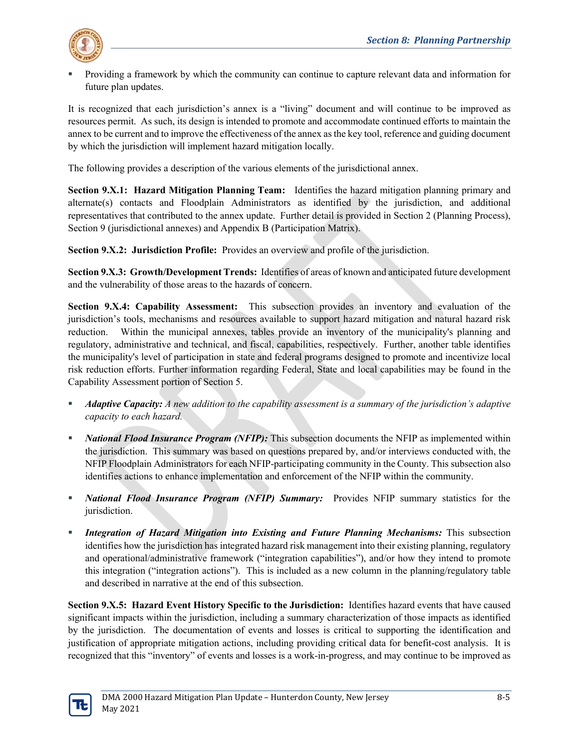

 Providing a framework by which the community can continue to capture relevant data and information for future plan updates.

It is recognized that each jurisdiction's annex is a "living" document and will continue to be improved as resources permit. As such, its design is intended to promote and accommodate continued efforts to maintain the annex to be current and to improve the effectiveness of the annex as the key tool, reference and guiding document by which the jurisdiction will implement hazard mitigation locally.

The following provides a description of the various elements of the jurisdictional annex.

**Section 9.X.1: Hazard Mitigation Planning Team:** Identifies the hazard mitigation planning primary and alternate(s) contacts and Floodplain Administrators as identified by the jurisdiction, and additional representatives that contributed to the annex update. Further detail is provided in Section 2 (Planning Process), Section 9 (jurisdictional annexes) and Appendix B (Participation Matrix).

**Section 9.X.2: Jurisdiction Profile:** Provides an overview and profile of the jurisdiction.

**Section 9.X.3: Growth/Development Trends:** Identifies of areas of known and anticipated future development and the vulnerability of those areas to the hazards of concern.

**Section 9.X.4: Capability Assessment:** This subsection provides an inventory and evaluation of the jurisdiction's tools, mechanisms and resources available to support hazard mitigation and natural hazard risk reduction. Within the municipal annexes, tables provide an inventory of the municipality's planning and regulatory, administrative and technical, and fiscal, capabilities, respectively. Further, another table identifies the municipality's level of participation in state and federal programs designed to promote and incentivize local risk reduction efforts. Further information regarding Federal, State and local capabilities may be found in the Capability Assessment portion of Section 5.

- *Adaptive Capacity: A new addition to the capability assessment is a summary of the jurisdiction's adaptive capacity to each hazard.*
- *National Flood Insurance Program (NFIP):* This subsection documents the NFIP as implemented within the jurisdiction. This summary was based on questions prepared by, and/or interviews conducted with, the NFIP Floodplain Administrators for each NFIP-participating community in the County. This subsection also identifies actions to enhance implementation and enforcement of the NFIP within the community.
- *National Flood Insurance Program (NFIP) Summary:* Provides NFIP summary statistics for the jurisdiction.
- *Integration of Hazard Mitigation into Existing and Future Planning Mechanisms:* This subsection identifies how the jurisdiction has integrated hazard risk management into their existing planning, regulatory and operational/administrative framework ("integration capabilities"), and/or how they intend to promote this integration ("integration actions"). This is included as a new column in the planning/regulatory table and described in narrative at the end of this subsection.

**Section 9.X.5: Hazard Event History Specific to the Jurisdiction:** Identifies hazard events that have caused significant impacts within the jurisdiction, including a summary characterization of those impacts as identified by the jurisdiction. The documentation of events and losses is critical to supporting the identification and justification of appropriate mitigation actions, including providing critical data for benefit-cost analysis. It is recognized that this "inventory" of events and losses is a work-in-progress, and may continue to be improved as

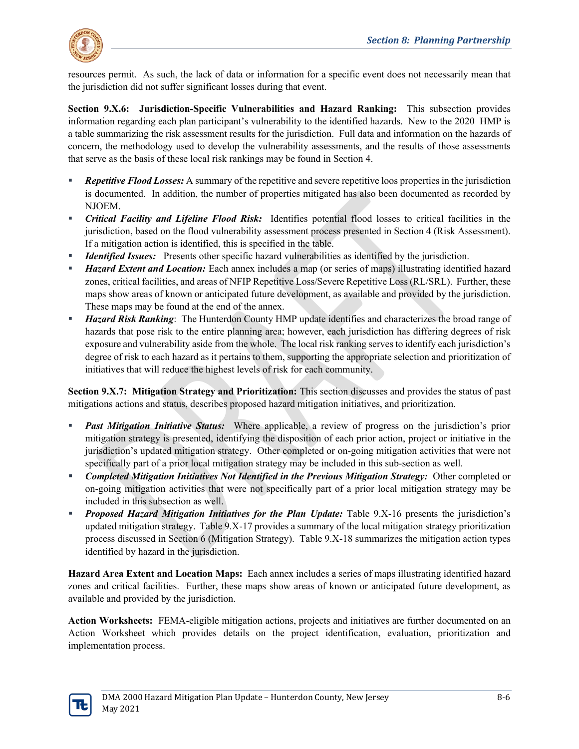

resources permit. As such, the lack of data or information for a specific event does not necessarily mean that the jurisdiction did not suffer significant losses during that event.

**Section 9.X.6: Jurisdiction-Specific Vulnerabilities and Hazard Ranking:** This subsection provides information regarding each plan participant's vulnerability to the identified hazards. New to the 2020 HMP is a table summarizing the risk assessment results for the jurisdiction. Full data and information on the hazards of concern, the methodology used to develop the vulnerability assessments, and the results of those assessments that serve as the basis of these local risk rankings may be found in Section 4.

- *Repetitive Flood Losses:* A summary of the repetitive and severe repetitive loos properties in the jurisdiction is documented. In addition, the number of properties mitigated has also been documented as recorded by NJOEM.
- *Critical Facility and Lifeline Flood Risk:* Identifies potential flood losses to critical facilities in the jurisdiction, based on the flood vulnerability assessment process presented in Section 4 (Risk Assessment). If a mitigation action is identified, this is specified in the table.
- *Identified Issues:* Presents other specific hazard vulnerabilities as identified by the jurisdiction.
- *Hazard Extent and Location:* Each annex includes a map (or series of maps) illustrating identified hazard zones, critical facilities, and areas of NFIP Repetitive Loss/Severe Repetitive Loss (RL/SRL). Further, these maps show areas of known or anticipated future development, as available and provided by the jurisdiction. These maps may be found at the end of the annex.
- *Hazard Risk Ranking*: The Hunterdon County HMP update identifies and characterizes the broad range of hazards that pose risk to the entire planning area; however, each jurisdiction has differing degrees of risk exposure and vulnerability aside from the whole. The local risk ranking serves to identify each jurisdiction's degree of risk to each hazard as it pertains to them, supporting the appropriate selection and prioritization of initiatives that will reduce the highest levels of risk for each community.

**Section 9.X.7: Mitigation Strategy and Prioritization:** This section discusses and provides the status of past mitigations actions and status, describes proposed hazard mitigation initiatives, and prioritization.

- *Past Mitigation Initiative Status:* Where applicable, a review of progress on the jurisdiction's prior mitigation strategy is presented, identifying the disposition of each prior action, project or initiative in the jurisdiction's updated mitigation strategy. Other completed or on-going mitigation activities that were not specifically part of a prior local mitigation strategy may be included in this sub-section as well.
- **F** Completed Mitigation Initiatives Not Identified in the Previous Mitigation Strategy: Other completed or on-going mitigation activities that were not specifically part of a prior local mitigation strategy may be included in this subsection as well.
- *Proposed Hazard Mitigation Initiatives for the Plan Update:* Table 9.X-16 presents the jurisdiction's updated mitigation strategy. Table 9.X-17 provides a summary of the local mitigation strategy prioritization process discussed in Section 6 (Mitigation Strategy). Table 9.X-18 summarizes the mitigation action types identified by hazard in the jurisdiction.

**Hazard Area Extent and Location Maps:** Each annex includes a series of maps illustrating identified hazard zones and critical facilities. Further, these maps show areas of known or anticipated future development, as available and provided by the jurisdiction.

**Action Worksheets:** FEMA-eligible mitigation actions, projects and initiatives are further documented on an Action Worksheet which provides details on the project identification, evaluation, prioritization and implementation process.

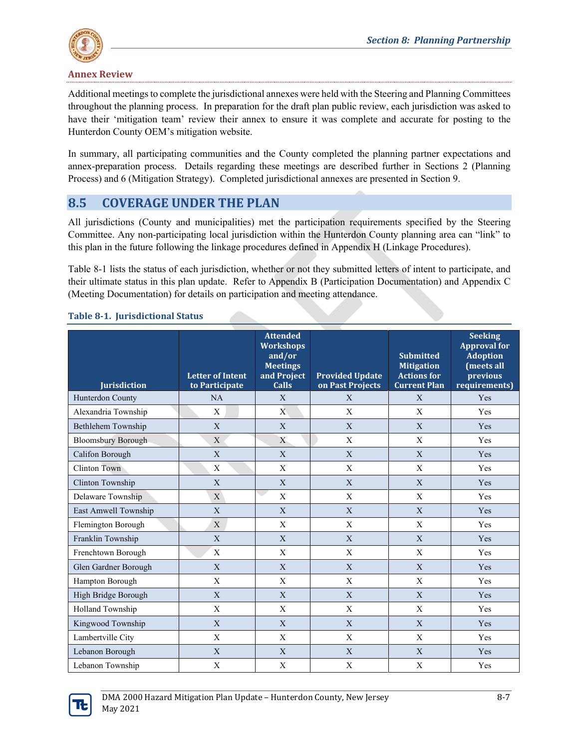

Additional meetings to complete the jurisdictional annexes were held with the Steering and Planning Committees throughout the planning process. In preparation for the draft plan public review, each jurisdiction was asked to have their 'mitigation team' review their annex to ensure it was complete and accurate for posting to the Hunterdon County OEM's mitigation website.

In summary, all participating communities and the County completed the planning partner expectations and annex-preparation process. Details regarding these meetings are described further in Sections 2 (Planning Process) and 6 (Mitigation Strategy). Completed jurisdictional annexes are presented in Section 9.

# **8.5 COVERAGE UNDER THE PLAN**

All jurisdictions (County and municipalities) met the participation requirements specified by the Steering Committee. Any non-participating local jurisdiction within the Hunterdon County planning area can "link" to this plan in the future following the linkage procedures defined in Appendix H (Linkage Procedures).

Table 8-1 lists the status of each jurisdiction, whether or not they submitted letters of intent to participate, and their ultimate status in this plan update. Refer to Appendix B (Participation Documentation) and Appendix C (Meeting Documentation) for details on participation and meeting attendance.

| <b>Jurisdiction</b>       | <b>Letter of Intent</b><br>to Participate | <b>Attended</b><br><b>Workshops</b><br>and/or<br><b>Meetings</b><br>and Project<br><b>Calls</b> | <b>Provided Update</b><br>on Past Projects | <b>Submitted</b><br><b>Mitigation</b><br><b>Actions for</b><br><b>Current Plan</b> | <b>Seeking</b><br><b>Approval for</b><br><b>Adoption</b><br>(meets all<br>previous<br>requirements) |
|---------------------------|-------------------------------------------|-------------------------------------------------------------------------------------------------|--------------------------------------------|------------------------------------------------------------------------------------|-----------------------------------------------------------------------------------------------------|
| Hunterdon County          | NA                                        | X                                                                                               | X                                          | X                                                                                  | Yes                                                                                                 |
| Alexandria Township       | X                                         | $\mathbf{X}$                                                                                    | $\mathbf X$                                | X                                                                                  | Yes                                                                                                 |
| Bethlehem Township        | X                                         | $\mathbf X$                                                                                     | $\mathbf X$                                | $\mathbf X$                                                                        | Yes                                                                                                 |
| <b>Bloomsbury Borough</b> | X                                         | X                                                                                               | X                                          | X                                                                                  | Yes                                                                                                 |
| Califon Borough           | X                                         | X                                                                                               | X                                          | X                                                                                  | Yes                                                                                                 |
| Clinton Town              | X                                         | $\mathbf X$                                                                                     | $\mathbf{X}$                               | X                                                                                  | Yes                                                                                                 |
| Clinton Township          | X                                         | $\mathbf{X}$                                                                                    | X                                          | $\mathbf{X}$                                                                       | Yes                                                                                                 |
| Delaware Township         | $\mathbf{X}$                              | X                                                                                               | X                                          | X                                                                                  | Yes                                                                                                 |
| East Amwell Township      | X                                         | $\mathbf{X}$                                                                                    | X                                          | $\mathbf{X}$                                                                       | Yes                                                                                                 |
| Flemington Borough        | $\mathbf X$                               | $\mathbf X$                                                                                     | $\mathbf X$                                | $\boldsymbol{\mathrm{X}}$                                                          | Yes                                                                                                 |
| Franklin Township         | $\mathbf{X}$                              | $\mathbf X$                                                                                     | $\mathbf X$                                | $\mathbf X$                                                                        | Yes                                                                                                 |
| Frenchtown Borough        | $\mathbf X$                               | $\boldsymbol{\mathrm{X}}$                                                                       | $\mathbf{X}$                               | $\boldsymbol{\mathrm{X}}$                                                          | Yes                                                                                                 |
| Glen Gardner Borough      | $\mathbf{X}$                              | X                                                                                               | $\mathbf{X}$                               | $\mathbf X$                                                                        | Yes                                                                                                 |
| Hampton Borough           | $\mathbf X$                               | $\mathbf X$                                                                                     | $\mathbf X$                                | $\mathbf X$                                                                        | Yes                                                                                                 |
| High Bridge Borough       | $\mathbf X$                               | $\mathbf X$                                                                                     | $\mathbf{X}$                               | $\mathbf X$                                                                        | Yes                                                                                                 |
| Holland Township          | $\mathbf X$                               | $\mathbf X$                                                                                     | $\mathbf X$                                | X                                                                                  | Yes                                                                                                 |
| Kingwood Township         | X                                         | $\mathbf X$                                                                                     | X                                          | X                                                                                  | Yes                                                                                                 |
| Lambertville City         | X                                         | X                                                                                               | X                                          | X                                                                                  | Yes                                                                                                 |
| Lebanon Borough           | X                                         | X                                                                                               | X                                          | X                                                                                  | Yes                                                                                                 |
| Lebanon Township          | $\mathbf X$                               | $\mathbf X$                                                                                     | $\mathbf X$                                | $\mathbf X$                                                                        | Yes                                                                                                 |

### **Table 8-1. Jurisdictional Status**